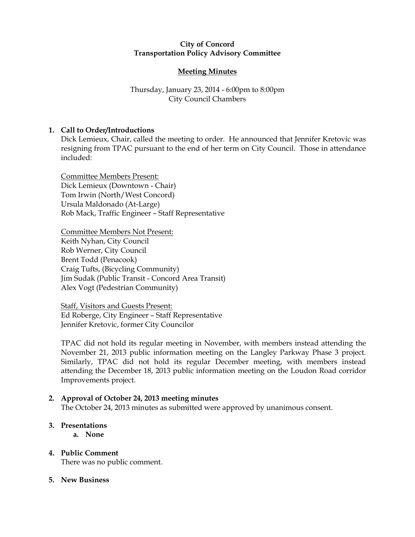### City of Concord Transportation Policy Advisory Committee

# Meeting Minutes

# Thursday, January 23, 2014 - 6:00pm to 8:00pm City Council Chambers

# 1. Call to Order/Introductions

Dick Lemieux, Chair, called the meeting to order. He announced that Jennifer Kretovic was resigning from TPAC pursuant to the end of her term on City Council. Those in attendance included:

Committee Members Present: Dick Lemieux (Downtown - Chair) Tom Irwin (North/West Concord) Ursula Maldonado (At-Large) Rob Mack, Traffic Engineer – Staff Representative

Committee Members Not Present: Keith Nyhan, City Council Rob Werner, City Council Brent Todd (Penacook) Craig Tufts, (Bicycling Community) Jim Sudak (Public Transit - Concord Area Transit) Alex Vogt (Pedestrian Community)

Staff, Visitors and Guests Present: Ed Roberge, City Engineer – Staff Representative Jennifer Kretovic, former City Councilor

TPAC did not hold its regular meeting in November, with members instead attending the November 21, 2013 public information meeting on the Langley Parkway Phase 3 project. Similarly, TPAC did not hold its regular December meeting, with members instead attending the December 18, 2013 public information meeting on the Loudon Road corridor Improvements project.

## 2. Approval of October 24, 2013 meeting minutes

The October 24, 2013 minutes as submitted were approved by unanimous consent.

### 3. Presentations

a. None

# 4. Public Comment

There was no public comment.

## 5. New Business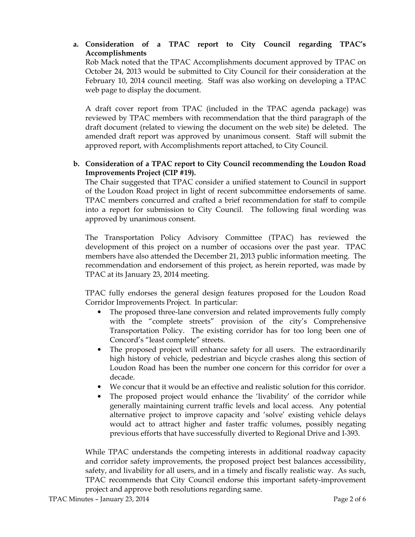# a. Consideration of a TPAC report to City Council regarding TPAC's Accomplishments

Rob Mack noted that the TPAC Accomplishments document approved by TPAC on October 24, 2013 would be submitted to City Council for their consideration at the February 10, 2014 council meeting. Staff was also working on developing a TPAC web page to display the document.

A draft cover report from TPAC (included in the TPAC agenda package) was reviewed by TPAC members with recommendation that the third paragraph of the draft document (related to viewing the document on the web site) be deleted. The amended draft report was approved by unanimous consent. Staff will submit the approved report, with Accomplishments report attached, to City Council.

# b. Consideration of a TPAC report to City Council recommending the Loudon Road Improvements Project (CIP #19).

The Chair suggested that TPAC consider a unified statement to Council in support of the Loudon Road project in light of recent subcommittee endorsements of same. TPAC members concurred and crafted a brief recommendation for staff to compile into a report for submission to City Council. The following final wording was approved by unanimous consent.

The Transportation Policy Advisory Committee (TPAC) has reviewed the development of this project on a number of occasions over the past year. TPAC members have also attended the December 21, 2013 public information meeting. The recommendation and endorsement of this project, as herein reported, was made by TPAC at its January 23, 2014 meeting.

TPAC fully endorses the general design features proposed for the Loudon Road Corridor Improvements Project. In particular:

- The proposed three-lane conversion and related improvements fully comply with the "complete streets" provision of the city's Comprehensive Transportation Policy. The existing corridor has for too long been one of Concord's "least complete" streets.
- The proposed project will enhance safety for all users. The extraordinarily high history of vehicle, pedestrian and bicycle crashes along this section of Loudon Road has been the number one concern for this corridor for over a decade.
- We concur that it would be an effective and realistic solution for this corridor.
- The proposed project would enhance the 'livability' of the corridor while generally maintaining current traffic levels and local access. Any potential alternative project to improve capacity and 'solve' existing vehicle delays would act to attract higher and faster traffic volumes, possibly negating previous efforts that have successfully diverted to Regional Drive and I-393.

While TPAC understands the competing interests in additional roadway capacity and corridor safety improvements, the proposed project best balances accessibility, safety, and livability for all users, and in a timely and fiscally realistic way. As such, TPAC recommends that City Council endorse this important safety-improvement project and approve both resolutions regarding same.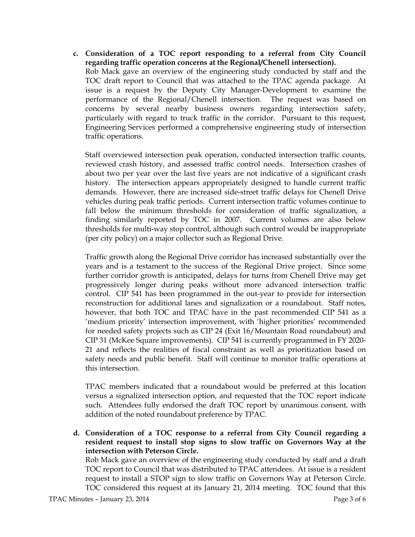c. Consideration of a TOC report responding to a referral from City Council regarding traffic operation concerns at the Regional/Chenell intersection). Rob Mack gave an overview of the engineering study conducted by staff and the TOC draft report to Council that was attached to the TPAC agenda package. At issue is a request by the Deputy City Manager-Development to examine the performance of the Regional/Chenell intersection. The request was based on concerns by several nearby business owners regarding intersection safety, particularly with regard to truck traffic in the corridor. Pursuant to this request, Engineering Services performed a comprehensive engineering study of intersection traffic operations.

Staff overviewed intersection peak operation, conducted intersection traffic counts, reviewed crash history, and assessed traffic control needs. Intersection crashes of about two per year over the last five years are not indicative of a significant crash history. The intersection appears appropriately designed to handle current traffic demands. However, there are increased side-street traffic delays for Chenell Drive vehicles during peak traffic periods. Current intersection traffic volumes continue to fall below the minimum thresholds for consideration of traffic signalization, a finding similarly reported by TOC in 2007. Current volumes are also below thresholds for multi-way stop control, although such control would be inappropriate (per city policy) on a major collector such as Regional Drive.

Traffic growth along the Regional Drive corridor has increased substantially over the years and is a testament to the success of the Regional Drive project. Since some further corridor growth is anticipated, delays for turns from Chenell Drive may get progressively longer during peaks without more advanced intersection traffic control. CIP 541 has been programmed in the out-year to provide for intersection reconstruction for additional lanes and signalization or a roundabout. Staff notes, however, that both TOC and TPAC have in the past recommended CIP 541 as a 'medium priority' intersection improvement, with 'higher priorities' recommended for needed safety projects such as CIP 24 (Exit 16/Mountain Road roundabout) and CIP 31 (McKee Square improvements). CIP 541 is currently programmed in FY 2020- 21 and reflects the realities of fiscal constraint as well as prioritization based on safety needs and public benefit. Staff will continue to monitor traffic operations at this intersection.

TPAC members indicated that a roundabout would be preferred at this location versus a signalized intersection option, and requested that the TOC report indicate such. Attendees fully endorsed the draft TOC report by unanimous consent, with addition of the noted roundabout preference by TPAC.

d. Consideration of a TOC response to a referral from City Council regarding a resident request to install stop signs to slow traffic on Governors Way at the intersection with Peterson Circle.

Rob Mack gave an overview of the engineering study conducted by staff and a draft TOC report to Council that was distributed to TPAC attendees. At issue is a resident request to install a STOP sign to slow traffic on Governors Way at Peterson Circle. TOC considered this request at its January 21, 2014 meeting. TOC found that this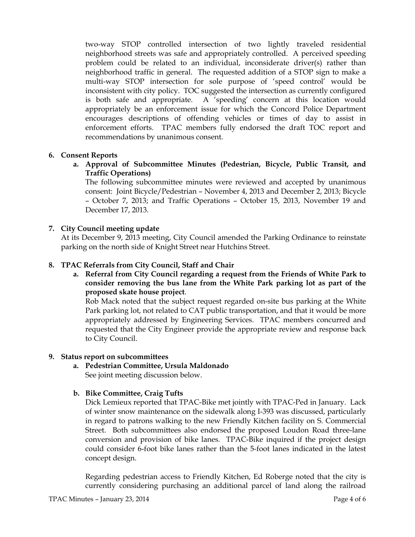two-way STOP controlled intersection of two lightly traveled residential neighborhood streets was safe and appropriately controlled. A perceived speeding problem could be related to an individual, inconsiderate driver(s) rather than neighborhood traffic in general. The requested addition of a STOP sign to make a multi-way STOP intersection for sole purpose of 'speed control' would be inconsistent with city policy. TOC suggested the intersection as currently configured is both safe and appropriate. A 'speeding' concern at this location would appropriately be an enforcement issue for which the Concord Police Department encourages descriptions of offending vehicles or times of day to assist in enforcement efforts. TPAC members fully endorsed the draft TOC report and recommendations by unanimous consent.

## 6. Consent Reports

a. Approval of Subcommittee Minutes (Pedestrian, Bicycle, Public Transit, and Traffic Operations)

The following subcommittee minutes were reviewed and accepted by unanimous consent: Joint Bicycle/Pedestrian – November 4, 2013 and December 2, 2013; Bicycle – October 7, 2013; and Traffic Operations – October 15, 2013, November 19 and December 17, 2013.

# 7. City Council meeting update

At its December 9, 2013 meeting, City Council amended the Parking Ordinance to reinstate parking on the north side of Knight Street near Hutchins Street.

# 8. TPAC Referrals from City Council, Staff and Chair

a. Referral from City Council regarding a request from the Friends of White Park to consider removing the bus lane from the White Park parking lot as part of the proposed skate house project.

Rob Mack noted that the subject request regarded on-site bus parking at the White Park parking lot, not related to CAT public transportation, and that it would be more appropriately addressed by Engineering Services. TPAC members concurred and requested that the City Engineer provide the appropriate review and response back to City Council.

## 9. Status report on subcommittees

a. Pedestrian Committee, Ursula Maldonado See joint meeting discussion below.

# b. Bike Committee, Craig Tufts

Dick Lemieux reported that TPAC-Bike met jointly with TPAC-Ped in January. Lack of winter snow maintenance on the sidewalk along I-393 was discussed, particularly in regard to patrons walking to the new Friendly Kitchen facility on S. Commercial Street. Both subcommittees also endorsed the proposed Loudon Road three-lane conversion and provision of bike lanes. TPAC-Bike inquired if the project design could consider 6-foot bike lanes rather than the 5-foot lanes indicated in the latest concept design.

Regarding pedestrian access to Friendly Kitchen, Ed Roberge noted that the city is currently considering purchasing an additional parcel of land along the railroad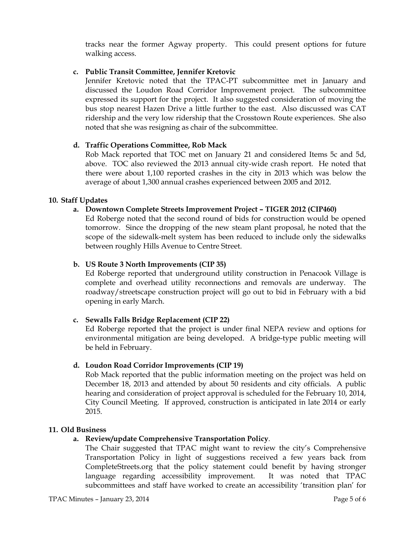tracks near the former Agway property. This could present options for future walking access.

### c. Public Transit Committee, Jennifer Kretovic

Jennifer Kretovic noted that the TPAC-PT subcommittee met in January and discussed the Loudon Road Corridor Improvement project. The subcommittee expressed its support for the project. It also suggested consideration of moving the bus stop nearest Hazen Drive a little further to the east. Also discussed was CAT ridership and the very low ridership that the Crosstown Route experiences. She also noted that she was resigning as chair of the subcommittee.

### d. Traffic Operations Committee, Rob Mack

Rob Mack reported that TOC met on January 21 and considered Items 5c and 5d, above. TOC also reviewed the 2013 annual city-wide crash report. He noted that there were about 1,100 reported crashes in the city in 2013 which was below the average of about 1,300 annual crashes experienced between 2005 and 2012.

### 10. Staff Updates

### a. Downtown Complete Streets Improvement Project – TIGER 2012 (CIP460)

Ed Roberge noted that the second round of bids for construction would be opened tomorrow. Since the dropping of the new steam plant proposal, he noted that the scope of the sidewalk-melt system has been reduced to include only the sidewalks between roughly Hills Avenue to Centre Street.

### b. US Route 3 North Improvements (CIP 35)

Ed Roberge reported that underground utility construction in Penacook Village is complete and overhead utility reconnections and removals are underway. The roadway/streetscape construction project will go out to bid in February with a bid opening in early March.

### c. Sewalls Falls Bridge Replacement (CIP 22)

Ed Roberge reported that the project is under final NEPA review and options for environmental mitigation are being developed. A bridge-type public meeting will be held in February.

### d. Loudon Road Corridor Improvements (CIP 19)

Rob Mack reported that the public information meeting on the project was held on December 18, 2013 and attended by about 50 residents and city officials. A public hearing and consideration of project approval is scheduled for the February 10, 2014, City Council Meeting. If approved, construction is anticipated in late 2014 or early 2015.

### 11. Old Business

## a. Review/update Comprehensive Transportation Policy.

The Chair suggested that TPAC might want to review the city's Comprehensive Transportation Policy in light of suggestions received a few years back from CompleteStreets.org that the policy statement could benefit by having stronger language regarding accessibility improvement. It was noted that TPAC subcommittees and staff have worked to create an accessibility 'transition plan' for